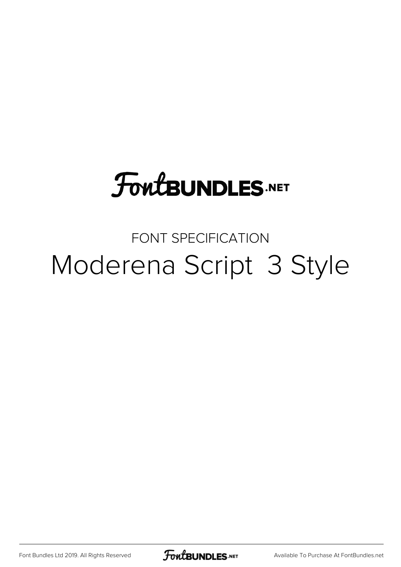# **FoutBUNDLES.NET**

# FONT SPECIFICATION Moderena Script 3 Style

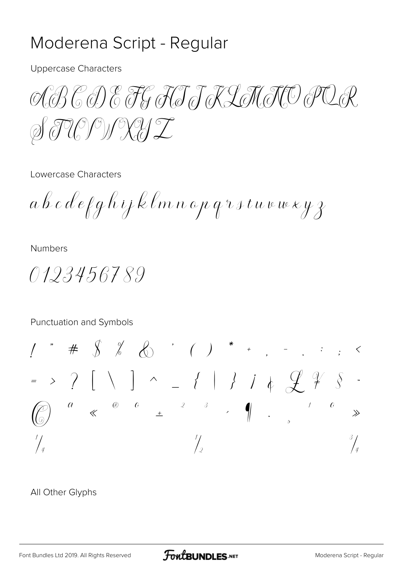## Moderena Script - Regular

**Uppercase Characters** 

ABCDE FG FTT JKLATO POR S TUY W XIZ

Lowercase Characters

a b c d e f g h i j k l m n a p q r s t u v w x y z

**Numbers** 

0123456789

Punctuation and Symbols

 $\hspace{0.1cm} = \hspace{0.1cm} \begin{array}{ccc} \searrow & \nearrow & \end{array} \left[ \begin{array}{c} \diagup \diagdown \bigcup \end{array} \right] \hspace{0.2cm} \begin{array}{ccc} \wedge & \hspace{0.1cm} \diagup & \hspace{0.1cm} \diagdown \hspace{0.1cm} \end{array} \hspace{0.2cm} \begin{array}{ccc} \nearrow & \diagdown & \downarrow & \end{array} \hspace{0.2cm} \begin{array}{ccc} \diagdown & \downarrow & \hspace{0.1cm} \diagdown & \downarrow & \end{array} \hspace{0.2cm} \begin{array}{ccc}$  $\gg$  $\int\!\!\!\!\!\!\int_{\mathcal{U}}$  $\frac{1}{x}$  $\frac{7}{2}$ 

All Other Glyphs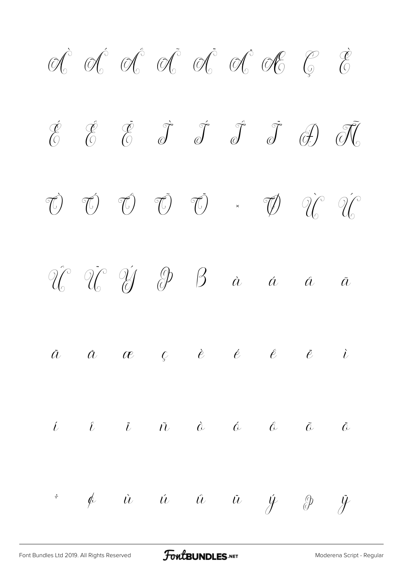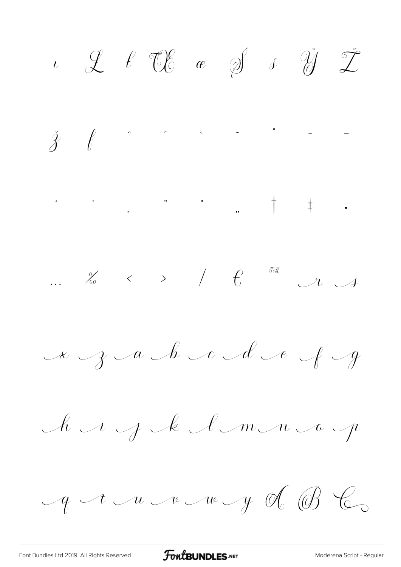$\begin{array}{cccccccccc} \iota & \mathcal{L} & \ell & \mathbb{C}\!\!\mathbb{C} & \mathscr{E} & \mathscr{E} & \mathscr{I} & \mathscr{I} & \mathscr{I} \end{array}$  $\check{3}$  f  $\qquad$  ,  $\qquad$  ,  $\qquad$  ,  $\qquad$   $\qquad$   $\qquad$   $\qquad$  $x \rightarrow y$  and and  $e \rightarrow y$ A i j k l m n a p  $-q$  and  $u$  and  $y$  of  $\oslash$   $\oslash$ 

FontBUNDLES.NET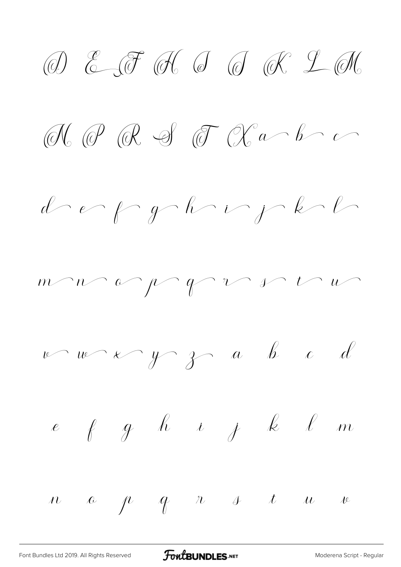$\textcircled{d}$  E F H I  $\textcircled{d}$   $\textcircled{d}$   $\textcircled{K}$  L  $\textcircled{M}$  $M$  P R S T Xabo deep geheup keh  $m \wedge n \wedge \omega \wedge \varphi \wedge \psi \wedge \psi \wedge \psi$  $u-u<\gamma$  of  $a$  be d  $e \quad f \quad g \quad h \quad i \quad j \quad k \quad \ell \quad m$  $n \quad a \quad p \quad q \quad n \quad s \quad t \quad u \quad v$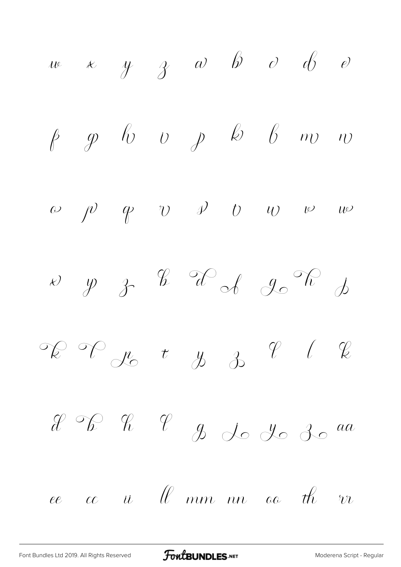[Font Bundles Ltd 2019. All Rights Reserved](https://fontbundles.net/) **FoutBUNDLES.NET** [Moderena Script - Regular](https://fontbundles.net/)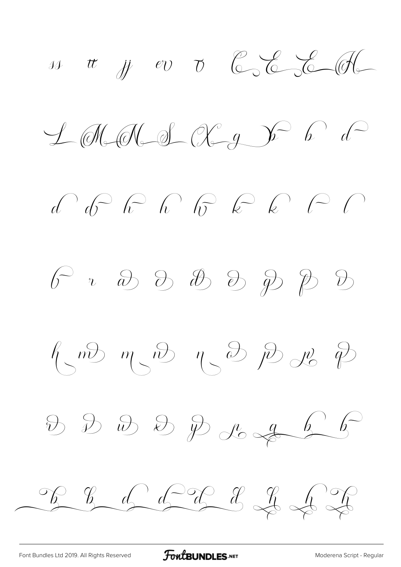$\mathcal{H} \quad \text{if} \quad \mathcal{H} \quad \text{ev} \quad \mathcal{D} \quad \text{C.} \quad \text{C.} \quad \text{C.} \quad \text{C.}$  $\perp \text{M.IC.} \qquad \qquad \text{M.} \qquad \qquad \text{M.} \qquad \qquad \text{M.} \qquad \qquad \text{M.}$  $d\widehat{\phantom{a}} d\widehat{\phantom{a}}^{a} d\widehat{\phantom{a}}^{b} \widehat{\phantom{a}}^{c} \widehat{\phantom{a}}^{b} \widehat{\phantom{a}}^{c} \widehat{\phantom{a}}^{c} \widehat{\phantom{a}}^{c} \widehat{\phantom{a}}^{c} \widehat{\phantom{a}}^{c} \widehat{\phantom{a}}^{c} \widehat{\phantom{a}}^{c} \widehat{\phantom{a}}^{c} \widehat{\phantom{a}}^{c} \widehat{\phantom{a}}^{c} \widehat{\phantom{a}}^{c} \widehat{\phantom{a}}^{c} \widehat{\phantom{a}}^{c} \widehat{\$  $\begin{array}{ccc} \mathcal{C} & \mathcal{C} & \mathcal{C} & \mathcal{C} & \mathcal{C} & \mathcal{C} & \mathcal{C} & \mathcal{C} & \mathcal{C} & \mathcal{C} & \mathcal{C} & \mathcal{C} & \mathcal{C} & \mathcal{C} & \mathcal{C} & \mathcal{C} & \mathcal{C} & \mathcal{C} & \mathcal{C} & \mathcal{C} & \mathcal{C} & \mathcal{C} & \mathcal{C} & \mathcal{C} & \mathcal{C} & \mathcal{C} & \mathcal{C} & \mathcal{C} & \mathcal{C} & \mathcal{C} & \mathcal$  $\oint\bigg\langle\begin{array}{ccc} m\! \bigg\rangle & m\, \bigg\langle\begin{array}{ccc} m\! \bigg\rangle & m\, \bigg\rangle & m\, \bigg\rangle & m\, \end{array} \bigg\rangle \begin{array}{ccc} m\! \bigg\rangle & m\, \bigg\rangle & m\, \bigg\rangle & m\, \end{array}$  $D D D D D D C D D D D$  $\frac{1}{2}$  b d d d d d d d d d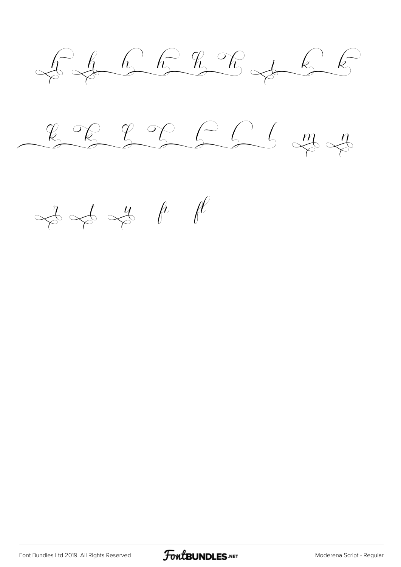$-66677678 + 66$ 

 $R$  of  $R$  of  $R$  of  $M$ 

 $f \rightarrow f$  fill

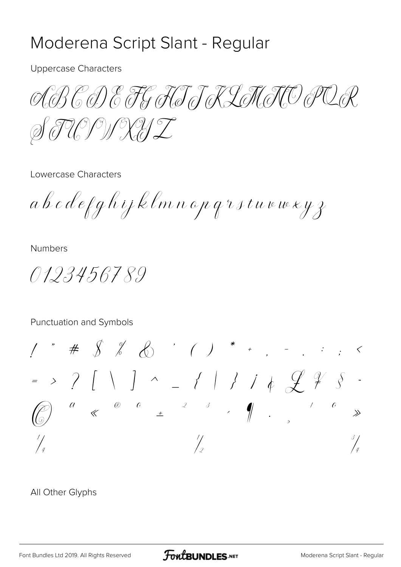### Moderena Script Slant - Regular

**Uppercase Characters** 

AP & P & F & FS J KLM TO POR STUYYAT

Lowercase Characters

a b c d e f g h i j k l m n a p q r s t u v w x y z

**Numbers** 

0123456789

Punctuation and Symbols

 $1 \quad " \# \quad \oint \quad \oint_{0}^{0} \quad \oint_{0}^{0} \quad (1) \quad * \quad + \quad , \quad - \quad . \quad : \quad , \quad <$ = > ? [ \ ] ^ \_ { | } j &  $\mathcal{L}$   $\mathcal{F}$  s  $\cdot$  $\gg$  $\frac{1}{\sqrt{2}}$  $\frac{1}{2}$ 

All Other Glyphs

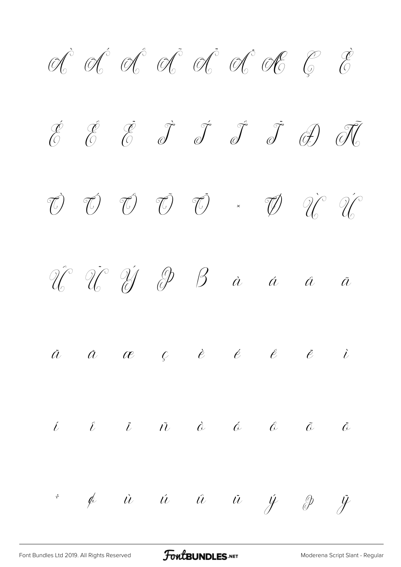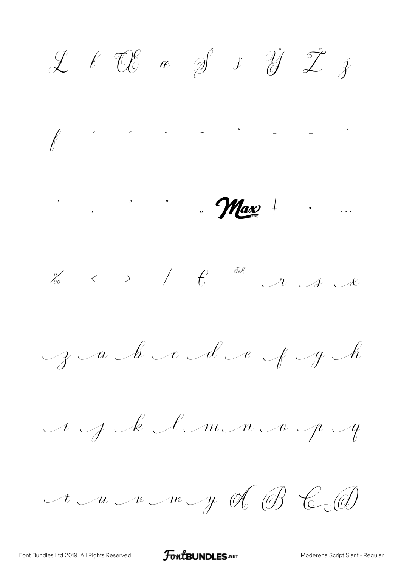$\begin{array}{ccccccccc}\mathcal{L} & \ell & \mathbb{C}\mathcal{E} & \mathit{ce} & \mathit{of} & \mathit{if} & \mathit{if} & \mathit{if} & \mathit{if} & \mathit{if}\end{array}$  $\overline{\mathscr{C}}$  $\%$  < >  $/$   $\epsilon$  <sup>on</sup>  $\sim$  such  $\epsilon$  $g \curvearrowleft b \curvearrowright d \curvearrowright f \curvearrowright b$ ig d'Imnogog  $u$  and  $u$  and  $y$  of  $\circledB$   $\circledB$ 

FontBUNDLES.NET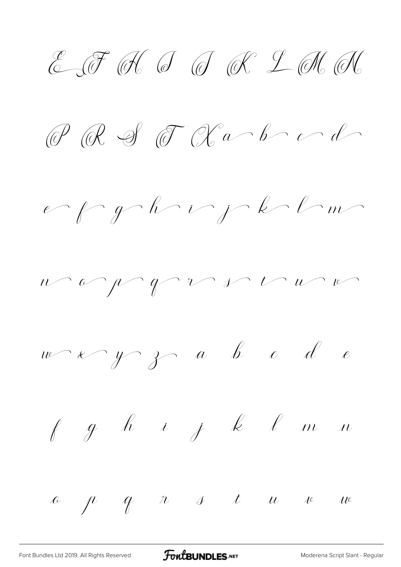$E\mathcal{J}$  of  $J\mathcal{J}$  of  $L\mathcal{J}$  of  $L\mathcal{J}$ 

 $O$   $R$   $S$   $T$   $(Xa-b-c-d)$ 

 $erfgrhrifrklm$ 

 $w \sim x \sim y \sim z \sim a \quad b \quad c \quad d \quad e$ 

f g h i j k l m n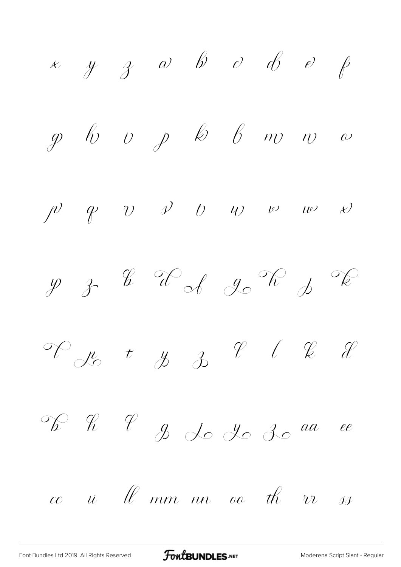$x \ y \ z \ w \ b \ c \ d \ e \ p$  $p$  b  $p$  b  $p$  m  $m$  a  $\rho$   $\rho$   $v$   $\rho$  to  $w$   $w$   $w$  $y$  z & X of 20  $^{\circ}$  p  $^{\circ}$  $\begin{array}{cccccccccccccc} \mathcal{P} & \mathcal{P} & t & \mathcal{Y} & \mathcal{Y} & \mathcal{V} & \mathcal{U} & \mathcal{R} & \mathcal{X} \end{array}$  cc ii ll mm nn oo th rr ss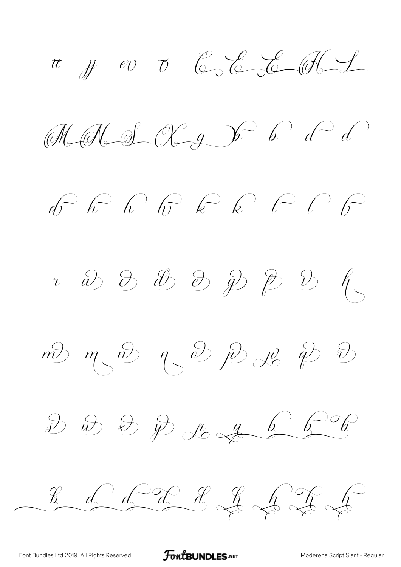$\pi$  jj ev  $\sigma$  bob b (H)

MM-S  $(X-g)$  b  $d^d$ 

 $\oint_0^{\infty} \oint_0^{\infty} \oint_0^{\infty} \oint_0^{\infty} \oint_0^{\infty} \oint_0^{\infty} \oint_0^{\infty} \oint_0^{\infty} \oint_0^{\infty}$ 

 $\begin{matrix} \begin{matrix} 1 & 1 & 1 \\ 0 & 1 & 1 \\ 0 & 0 & 0 \end{matrix} & \begin{matrix} 1 & 1 & 1 \\ 1 & 1 & 1 \\ 1 & 1 & 1 \end{matrix} & \begin{matrix} 1 & 1 & 1 \\ 1 & 1 & 1 \\ 1 & 1 & 1 \end{matrix} & \begin{matrix} 1 & 1 & 1 \\ 1 & 1 & 1 \\ 1 & 1 & 1 \end{matrix} & \begin{matrix} 1 & 1 & 1 \\ 1 & 1 & 1 \\ 1 & 1 & 1 \end{matrix} & \begin{matrix} 1 & 1 & 1 \\ 1 & 1 & 1 \\ 1 & 1 &$ 

 $m$   $m$   $n$   $n$   $n$   $n$   $n$   $n$   $n$   $n$   $n$ 

 $D$   $D$   $D$   $D$   $C$   $D$   $D$ 

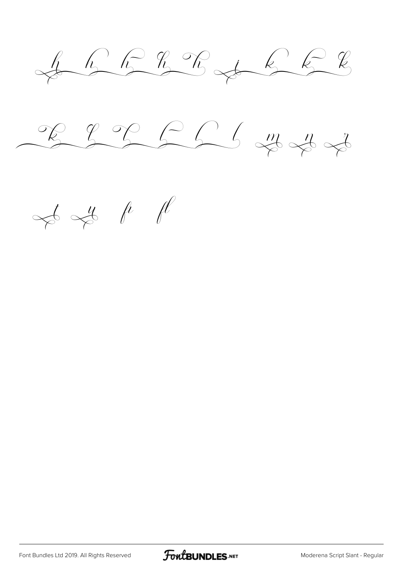$\frac{1}{2} \frac{1}{2} \frac{1}{2} \frac{1}{2} \frac{1}{2} \frac{1}{2} \frac{1}{2} \frac{1}{2} \frac{1}{2} \frac{1}{2} \frac{1}{2} \frac{1}{2} \frac{1}{2} \frac{1}{2} \frac{1}{2} \frac{1}{2} \frac{1}{2} \frac{1}{2} \frac{1}{2} \frac{1}{2} \frac{1}{2} \frac{1}{2} \frac{1}{2} \frac{1}{2} \frac{1}{2} \frac{1}{2} \frac{1}{2} \frac{1}{2} \frac{1}{2} \frac{1}{2} \frac{1}{2} \frac{$ 

*fi fl*

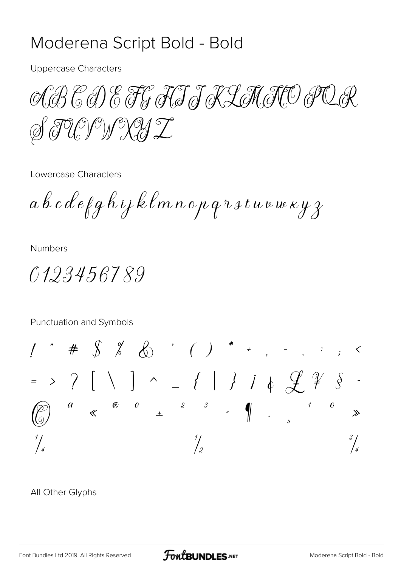### Moderena Script Bold - Bold

**Uppercase Characters** 

AGS & J) & FG KJ J KLM MO POR  $\mathscr{B}$  TU ) W XI  $\mathcal{I}$ 

Lowercase Characters

a b c d e f g h i j k l m n o p q r s t u v w x y z

**Numbers** 

0123456789

Punctuation and Symbols

= > ?  $[ \ \ | \ \ ]$  ^ \_ { | } j &  $\mathcal{L}$  ?  $\begin{array}{ccccccc}\n & & 2 & & 3 & \\
\hline\n\end{array}$  $\bigotimes$  0  $\begin{array}{cc} a & \ & \mathcal{K} \end{array}$  $\mathcal{C} \ \mathcal{O}$  $\gg$  $\frac{3}{4}$  $\frac{1}{4}$  $\frac{1}{2}$ 

All Other Glyphs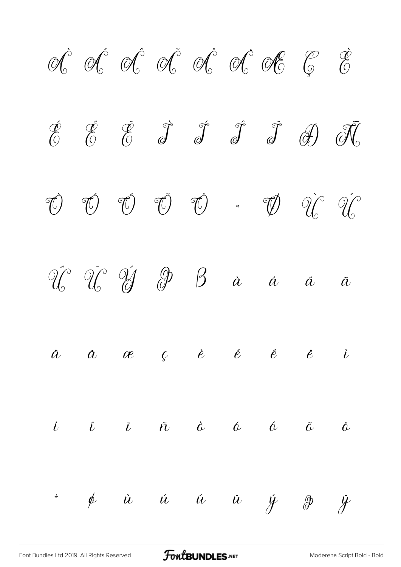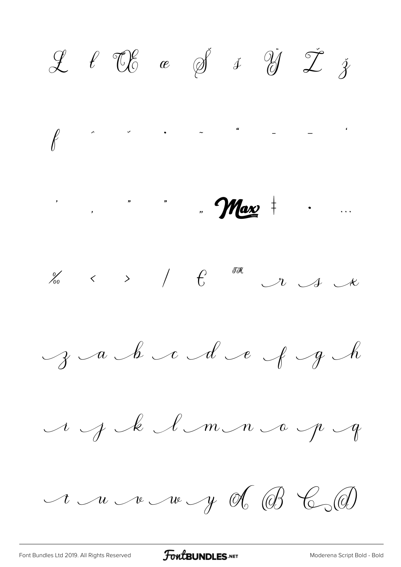$\begin{array}{cccccccccc} \mathcal{L} & \ell & \mathbb{C}\hspace{-0.45em}\mathcal{C} & & & \mathscr{J} & \mathscr{I} & \mathscr{I} & \mathscr{J} & \mathscr{I} & \mathscr{J} \end{array}$  $\oint$  and an interval of the contract of the contract of the contract of the contract of the contract of the contract of the contract of the contract of the contract of the contract of the contract of the contract of the c  $\frac{1}{2}$ ,  $\frac{1}{2}$ ,  $\frac{1}{2}$ ,  $\frac{1}{2}$  $\%$  < > /  $\epsilon$  <sup>on</sup>  $\mathcal{L}$  $\mathcal{A}$  $g \curvearrowleft b \curvearrowright d \curvearrowright f \curvearrowright b$ i j k l m n a p g  $u_u$  we way of  $\textcircled{B}$   $\textcircled{c}$ 

**FoutBUNDLES**.NET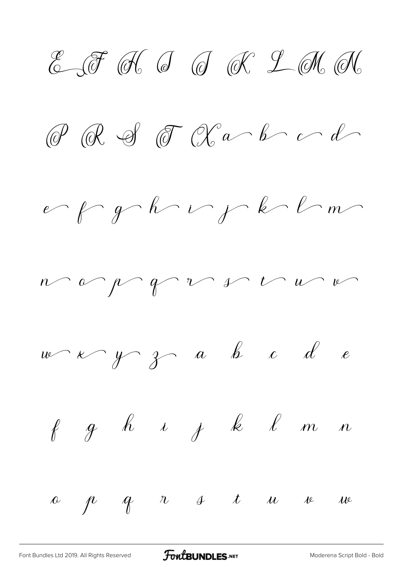$\mathscr{E}$   $\mathscr{F}$   $\mathscr{A}$   $\mathscr{G}$   $\mathscr{G}$   $\mathscr{K}$   $\mathscr{L}$   $\mathscr{M}$   $\mathscr{N}$  $\mathcal{O}$   $\mathcal{O}$   $\mathcal{O}$   $\mathcal{O}$   $\mathcal{O}$   $\mathcal{O}$   $\mathcal{O}$   $\mathcal{O}$   $\mathcal{O}$   $\mathcal{O}$  $erfgrhrffk$  $n \sim \rho \sim \rho \sim \nu \sim \nu \sim \nu$  $w \sim \kappa \sim \gamma \sim \gamma$  a b c d e f g h i j k l m n  $\begin{array}{ccccccccccccccccc} \alpha & \rho & q & n & \delta & t & u & w & w & \end{array}$ 

[Font Bundles Ltd 2019. All Rights Reserved](https://fontbundles.net/) **FoutBUNDLES.NET** [Moderena Script Bold - Bold](https://fontbundles.net/)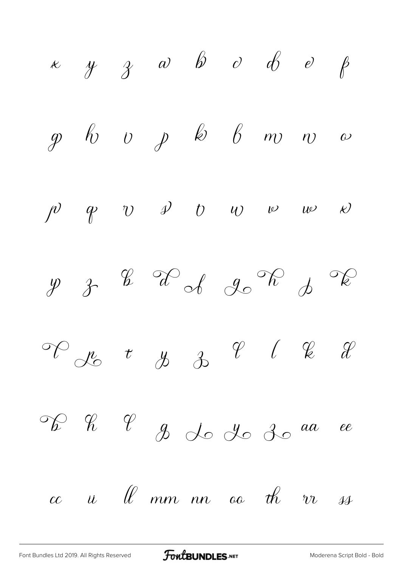| $x$ | $y$ | $y$ | $a$ | $b$ | $c$ | $d$ | $e$ | $e$      |          |
|-----|-----|-----|-----|-----|-----|-----|-----|----------|----------|
| $p$ | $q$ | $q$ | $q$ | $b$ | $b$ | $q$ | $m$ | $m$      | $\omega$ |
| $p$ | $q$ | $p$ | $v$ | $y$ | $b$ | $m$ | $m$ | $\omega$ |          |
| $p$ | $y$ | $y$ | $y$ | $y$ | $0$ | $m$ | $m$ | $m$      |          |
| $0$ | $0$ | $0$ | $0$ | $0$ | $0$ | $0$ | $0$ | $0$      |          |
| $0$ | $0$ | $0$ | $0$ | $0$ | $0$ | $0$ | $0$ | $0$      |          |
| $0$ | $0$ | $0$ | $0$ | $0$ | $0$ | $0$ | $0$ | $0$      |          |
| $0$ | $0$ | $0$ |     |     |     |     |     |          |          |

[Font Bundles Ltd 2019. All Rights Reserved](https://fontbundles.net/) **FoutBUNDLES.NET** [Moderena Script Bold - Bold](https://fontbundles.net/)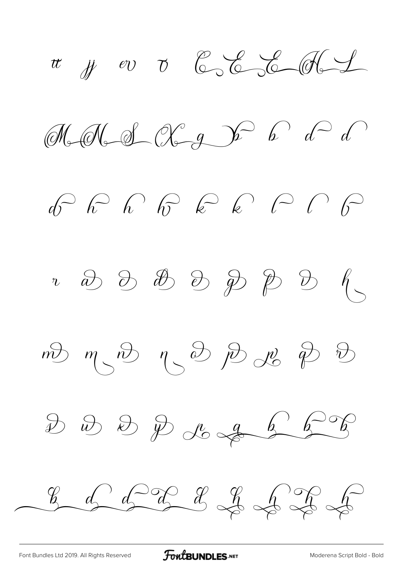$\pi$  y ev  $\sigma$  bob ob  $M_{\bullet}M_{\bullet}A_{\bullet}C_{\bullet}C_{\bullet}D_{\bullet}C_{\bullet}C_{\bullet}C_{\bullet}C_{\bullet}$  $\oint_0^\infty \oint_0^\infty \oint_0^\infty \oint_0^\infty \oint_0^\infty \oint_0^\infty \oint_0^\infty \oint_0^\infty \oint_0^\infty \oint_0^\infty \oint_0^\infty \oint_0^\infty \oint_0^\infty \oint_0^\infty \oint_0^\infty \oint_0^\infty \oint_0^\infty \oint_0^\infty \oint_0^\infty \oint_0^\infty \oint_0^\infty \oint_0^\infty \oint_0^\infty \oint_0^\infty \oint_0^\infty \oint_0^\infty \oint_0^\infty \oint_0^\infty \oint_0^\infty \oint_0^\infty \oint_0^\infty \oint_$  $\begin{matrix} \begin{matrix} \eta & \partial \end{matrix} & \begin{matrix} \partial \eta & \partial \end{matrix} & \begin{matrix} \partial \eta & \partial \end{matrix} & \begin{matrix} \partial \eta & \partial \end{matrix} & \begin{matrix} \partial \eta & \partial \end{matrix} & \begin{matrix} \partial \eta & \partial \end{matrix} & \begin{matrix} \partial \eta & \partial \end{matrix} & \begin{matrix} \partial \eta & \partial \end{matrix} & \begin{matrix} \partial \eta & \partial \end{matrix} & \begin{matrix} \partial \eta & \partial \end{matrix} & \begin{matrix} \partial \eta & \partial \end{matrix} & \begin{matrix} \partial \eta & \partial \end{matrix} & \$  $mD$   $m$   $nD$   $n$   $nD$   $nD$   $nD$   $nD$  $D D D D C C D D D D D$  $\n **4 4 4 4 4 6 8 8 9 10 11 12 13 14 15 16 17 19 19 19 19 19 19 19 19 19 19 19**$